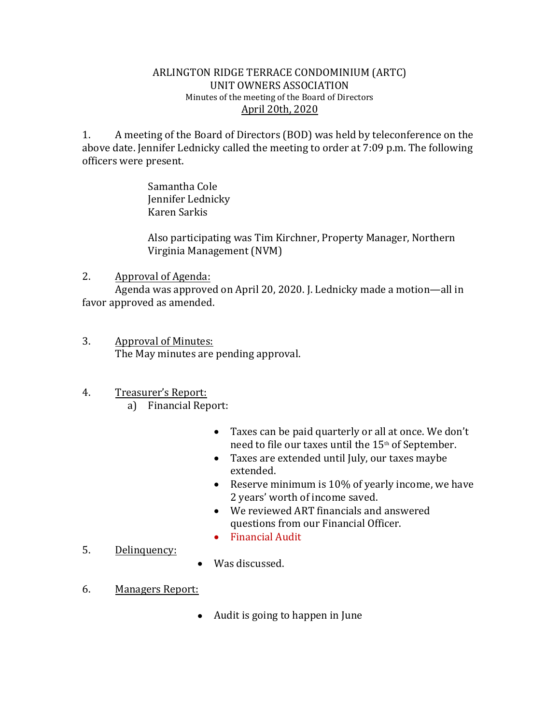## ARLINGTON RIDGE TERRACE CONDOMINIUM (ARTC) UNIT OWNERS ASSOCIATION Minutes of the meeting of the Board of Directors April 20th, 2020

1. A meeting of the Board of Directors (BOD) was held by teleconference on the above date. Jennifer Lednicky called the meeting to order at 7:09 p.m. The following officers were present.

> Samantha Cole Jennifer Lednicky Karen Sarkis

Also participating was Tim Kirchner, Property Manager, Northern Virginia Management (NVM)

## 2. Approval of Agenda:

Agenda was approved on April 20, 2020. J. Lednicky made a motion—all in favor approved as amended.

- 3. Approval of Minutes: The May minutes are pending approval.
- 4. Treasurer's Report:
	- a) Financial Report:
		- Taxes can be paid quarterly or all at once. We don't need to file our taxes until the 15<sup>th</sup> of September.
		- Taxes are extended until July, our taxes maybe extended.
		- Reserve minimum is 10% of yearly income, we have 2 years' worth of income saved.
		- We reviewed ART financials and answered questions from our Financial Officer.
		- Financial Audit
- 5. Delinquency:
- Was discussed.
- 6. Managers Report:
	- Audit is going to happen in June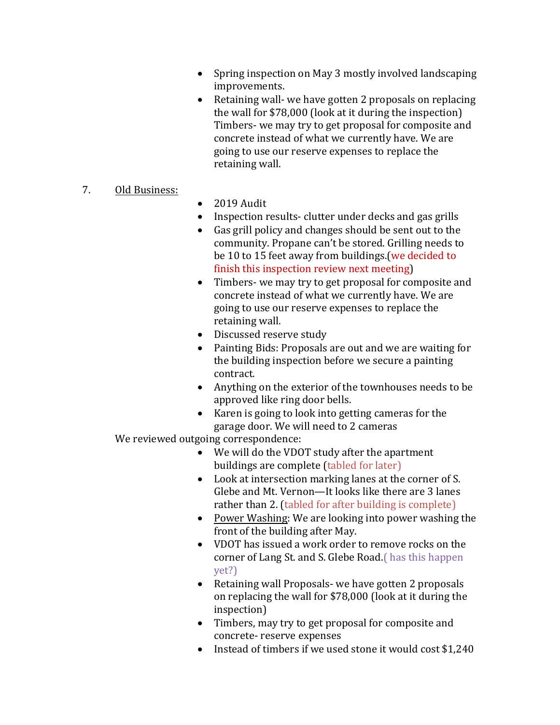- Spring inspection on May 3 mostly involved landscaping improvements.
- Retaining wall- we have gotten 2 proposals on replacing the wall for \$78,000 (look at it during the inspection) Timbers- we may try to get proposal for composite and concrete instead of what we currently have. We are going to use our reserve expenses to replace the retaining wall.

## 7. Old Business:

- $\bullet$  2019 Audit
- Inspection results-clutter under decks and gas grills
- Gas grill policy and changes should be sent out to the community. Propane can't be stored. Grilling needs to be 10 to 15 feet away from buildings.(we decided to finish this inspection review next meeting)
- Timbers- we may try to get proposal for composite and concrete instead of what we currently have. We are going to use our reserve expenses to replace the retaining wall.
- Discussed reserve study
- Painting Bids: Proposals are out and we are waiting for the building inspection before we secure a painting contract.
- Anything on the exterior of the townhouses needs to be approved like ring door bells.
- Karen is going to look into getting cameras for the garage door. We will need to 2 cameras

We reviewed outgoing correspondence:

- We will do the VDOT study after the apartment buildings are complete (tabled for later)
- Look at intersection marking lanes at the corner of S. Glebe and Mt. Vernon—It looks like there are 3 lanes rather than 2. (tabled for after building is complete)
- Power Washing: We are looking into power washing the front of the building after May.
- VDOT has issued a work order to remove rocks on the corner of Lang St. and S. Glebe Road.( has this happen yet?)
- Retaining wall Proposals- we have gotten 2 proposals on replacing the wall for \$78,000 (look at it during the inspection)
- Timbers, may try to get proposal for composite and concrete- reserve expenses
- Instead of timbers if we used stone it would cost \$1,240